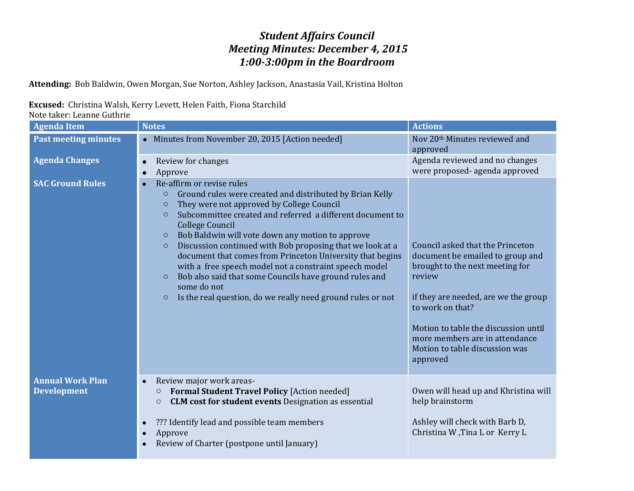## *Student Affairs Council Meeting Minutes: December 4, 2015 1:00-3:00pm in the Boardroom*

**Attending:** Bob Baldwin, Owen Morgan, Sue Norton, Ashley Jackson, Anastasia Vail, Kristina Holton

## **Excused:** Christina Walsh, Kerry Levett, Helen Faith, Fiona Starchild

Note taker: Leanne Guthrie

| <b>Agenda Item</b>                            | <b>Notes</b>                                                                                                                                                                                                                                                                                                                                                                                                                                                                                                                                                                                                                                                                                        | <b>Actions</b>                                                                                                                                                                                                                                                                                        |
|-----------------------------------------------|-----------------------------------------------------------------------------------------------------------------------------------------------------------------------------------------------------------------------------------------------------------------------------------------------------------------------------------------------------------------------------------------------------------------------------------------------------------------------------------------------------------------------------------------------------------------------------------------------------------------------------------------------------------------------------------------------------|-------------------------------------------------------------------------------------------------------------------------------------------------------------------------------------------------------------------------------------------------------------------------------------------------------|
| <b>Past meeting minutes</b>                   | • Minutes from November 20, 2015 [Action needed]                                                                                                                                                                                                                                                                                                                                                                                                                                                                                                                                                                                                                                                    | Nov 20 <sup>th</sup> Minutes reviewed and<br>approved                                                                                                                                                                                                                                                 |
| <b>Agenda Changes</b>                         | Review for changes<br>$\bullet$<br>Approve<br>$\bullet$                                                                                                                                                                                                                                                                                                                                                                                                                                                                                                                                                                                                                                             | Agenda reviewed and no changes<br>were proposed- agenda approved                                                                                                                                                                                                                                      |
| <b>SAC Ground Rules</b>                       | Re-affirm or revise rules<br>$\bullet$<br>Ground rules were created and distributed by Brian Kelly<br>$\circ$<br>They were not approved by College Council<br>$\circ$<br>Subcommittee created and referred a different document to<br>$\circ$<br><b>College Council</b><br>Bob Baldwin will vote down any motion to approve<br>$\circ$<br>Discussion continued with Bob proposing that we look at a<br>$\circ$<br>document that comes from Princeton University that begins<br>with a free speech model not a constraint speech model<br>Bob also said that some Councils have ground rules and<br>$\circ$<br>some do not<br>Is the real question, do we really need ground rules or not<br>$\circ$ | Council asked that the Princeton<br>document be emailed to group and<br>brought to the next meeting for<br>review<br>if they are needed, are we the group<br>to work on that?<br>Motion to table the discussion until<br>more members are in attendance<br>Motion to table discussion was<br>approved |
| <b>Annual Work Plan</b><br><b>Development</b> | Review major work areas-<br>$\bullet$<br><b>Formal Student Travel Policy [Action needed]</b><br>$\circ$<br><b>CLM cost for student events</b> Designation as essential<br>$\circ$<br>??? Identify lead and possible team members<br>$\bullet$<br>Approve<br>$\bullet$                                                                                                                                                                                                                                                                                                                                                                                                                               | Owen will head up and Khristina will<br>help brainstorm<br>Ashley will check with Barb D,<br>Christina W, Tina L or Kerry L                                                                                                                                                                           |
|                                               | Review of Charter (postpone until January)                                                                                                                                                                                                                                                                                                                                                                                                                                                                                                                                                                                                                                                          |                                                                                                                                                                                                                                                                                                       |